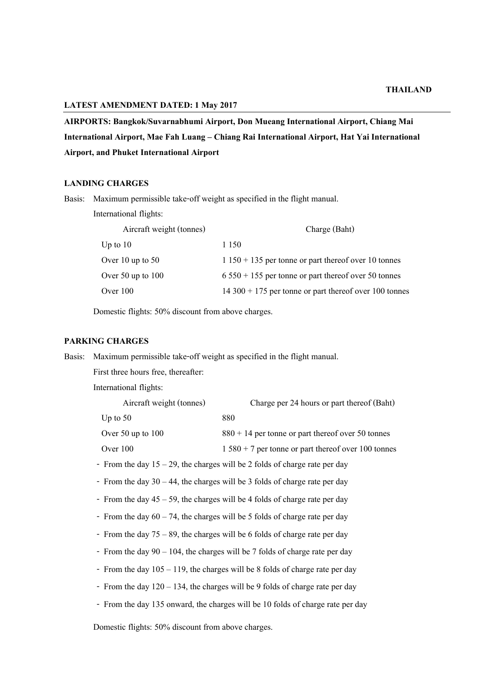# **LATEST AMENDMENT DATED: 1 May 2017**

**AIRPORTS: Bangkok/Suvarnabhumi Airport, Don Mueang International Airport, Chiang Mai International Airport, Mae Fah Luang – Chiang Rai International Airport, Hat Yai International Airport, and Phuket International Airport**

#### **LANDING CHARGES**

Basis: Maximum permissible take-off weight as specified in the flight manual.

International flights:

| Aircraft weight (tonnes) | Charge (Baht)                                             |
|--------------------------|-----------------------------------------------------------|
| Up to $10$               | 1 1 5 0                                                   |
| Over 10 up to $50$       | $1150 + 135$ per tonne or part thereof over 10 tonnes     |
| Over 50 up to $100$      | $6\,550 + 155$ per tonne or part thereof over 50 tonnes   |
| Over $100$               | $14\,300 + 175$ per tonne or part thereof over 100 tonnes |

Domestic flights: 50% discount from above charges.

### **PARKING CHARGES**

Basis: Maximum permissible take-off weight as specified in the flight manual.

First three hours free, thereafter:

International flights:

| Aircraft weight (tonnes) | Charge per 24 hours or part thereof (Baht)           |
|--------------------------|------------------------------------------------------|
| Up to $50$               | 880                                                  |
| Over 50 up to $100$      | $880 + 14$ per tonne or part thereof over 50 tonnes  |
| Over $100$               | $1580 + 7$ per tonne or part thereof over 100 tonnes |
|                          |                                                      |

- From the day 15 – 29, the charges will be 2 folds of charge rate per day

- From the day 30 – 44, the charges will be 3 folds of charge rate per day

- From the day 45 – 59, the charges will be 4 folds of charge rate per day

- From the day  $60 74$ , the charges will be 5 folds of charge rate per day
- From the day 75 89, the charges will be 6 folds of charge rate per day
- From the day 90 104, the charges will be 7 folds of charge rate per day
- From the day  $105 119$ , the charges will be 8 folds of charge rate per day
- From the day 120 134, the charges will be 9 folds of charge rate per day
- From the day 135 onward, the charges will be 10 folds of charge rate per day

Domestic flights: 50% discount from above charges.